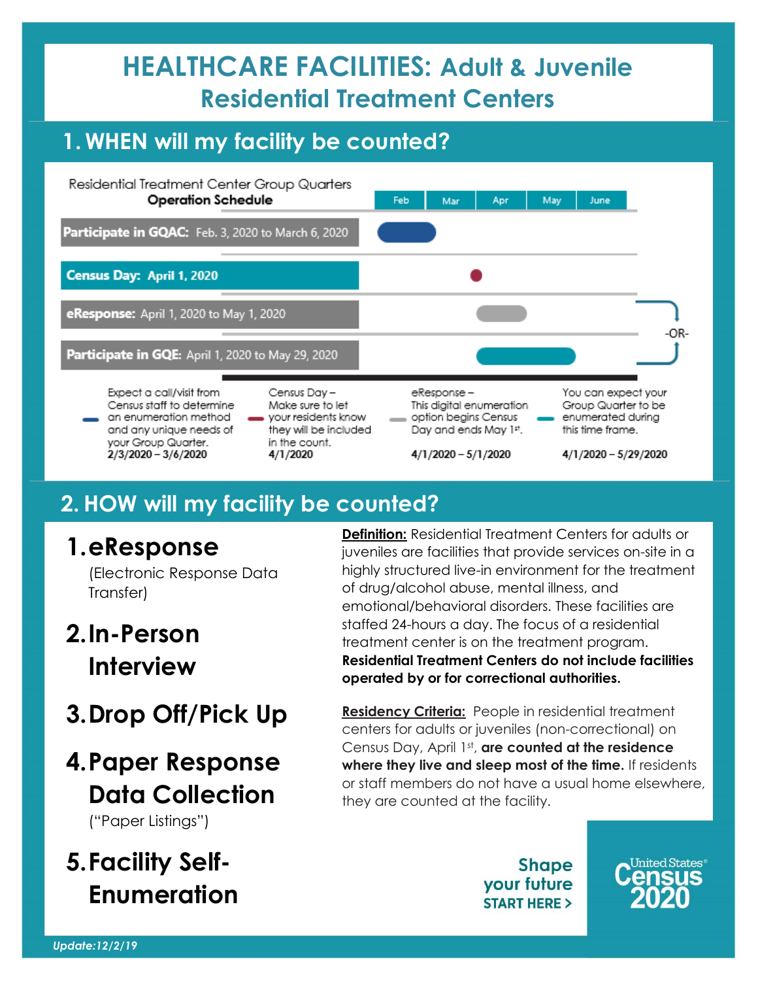## **HEALTHCARE FACILITIES: Adult & Juvenile Residential Treatment Centers**

#### **1. WHEN will my facility be counted?**



#### **2.HOW will my facility be counted?**

#### **1.eResponse**

(Electronic Response Data Transfer)

## **2.In-Person Interview**

**3.Drop Off/Pick Up**

#### **4.Paper Response Data Collection** ("Paper Listings")

## **5.Facility Self-Enumeration**

**Definition:** Residential Treatment Centers for adults or juveniles are facilities that provide services on-site in a highly structured live-in environment for the treatment of drug/alcohol abuse, mental illness, and emotional/behavioral disorders. These facilities are staffed 24-hours a day. The focus of a residential treatment center is on the treatment program. **Residential Treatment Centers do not include facilities operated by or for correctional authorities.**

**Residency Criteria:** People in residential treatment centers for adults or juveniles (non-correctional) on Census Day, April 1<sup>st</sup>, are counted at the residence **where they live and sleep most of the time.** If residents or staff members do not have a usual home elsewhere, they are counted at the facility.

> **Shape** your future **START HERE >**